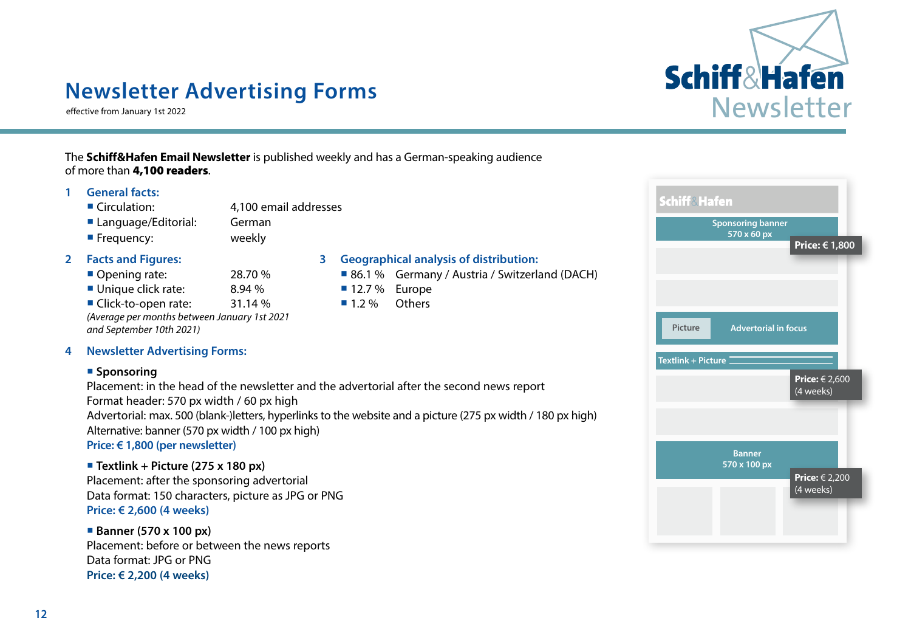

## **Newsletter Advertising Forms**

effective from January 1st 2022

#### The **Schiff&Hafen Email Newsletter** is published weekly and has a German-speaking audience of more than 4,100 readers.

#### **1 General facts:**

- Circulation: 4,100 email addresses
- Language/Editorial: German
- **Frequency:** weekly

- 
- Unique click rate:  $8.94\%$  12.7 % Europe
- Click-to-open rate: 31.14 % 1.2 % Others

*(Average per months between January 1st 2021 and September 10th 2021)*

#### **4 Newsletter Advertising Forms:**

#### **Sponsoring**

Placement: in the head of the newsletter and the advertorial after the second news report Format header: 570 px width / 60 px high Advertorial: max. 500 (blank-)letters, hyperlinks to the website and a picture (275 px width / 180 px high) Alternative: banner (570 px width / 100 px high)

**Price: € 1,800 (per newsletter)**

#### **Textlink + Picture (275 x 180 px)**

Placement: after the sponsoring advertorial Data format: 150 characters, picture as JPG or PNG **Price: € 2,600 (4 weeks)**

#### **Banner (570 x 100 px)**

Placement: before or between the news reports Data format: JPG or PNG **Price: € 2,200 (4 weeks)**

#### **2 Facts and Figures: 3 Geographical analysis of distribution:**

- Opening rate: 28.70 % 86.1 % Germany / Austria / Switzerland (DACH)
	-
	-

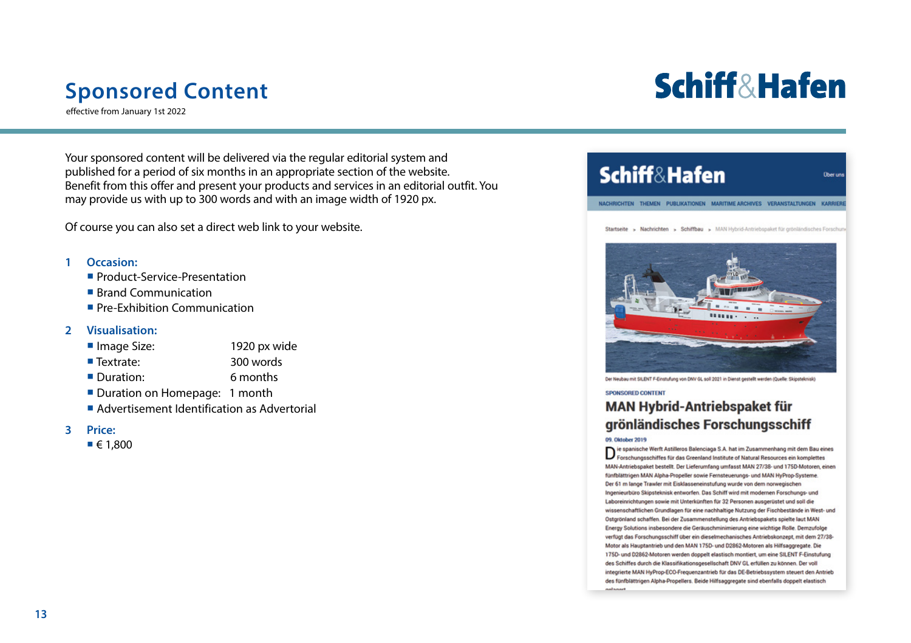## **Sponsored Content**

effective from January 1st 2022

**Schiff&Hafen** 

**Obecur** 

Your sponsored content will be delivered via the regular editorial system and published for a period of six months in an appropriate section of the website. Benefit from this offer and present your products and services in an editorial outfit. You may provide us with up to 300 words and with an image width of 1920 px.

Of course you can also set a direct web link to your website.

#### **1 Occasion:**

- **Product-Service-Presentation**
- Brand Communication
- **Pre-Exhibition Communication**

#### **2 Visualisation:**

- Image Size: 1920 px wide
- Textrate: 300 words
- Duration: 6 months
- Duration on Homepage: 1 month
- Advertisement Identification as Advertorial

#### **3 Price:**

 $\blacksquare$   $\in$  1.800

### **Schiff&Hafen**

NACHRICHTEN THEMEN PUBLIKATIONEN MARITIME ARCHIVES VERANSTALTUNGEN KARRIEI

Startseite > Nachrichten > Schiffbau > MAN Hybrid-Antriebspaket für grönländisches Forschu



Der Neubau mit SILENT F-Einstufung von DNV GL soll 2021 in Dienst gestellt werden (Quelle: Skipsteknisk)

#### SPONSORED CONTENT

### **MAN Hybrid-Antriebspaket für** grönländisches Forschungsschiff

09. Oktober 2019

 $\mathbf{D}$  ie spanische Werft Astilleros Balenciaga S.A. hat im Zusammenhang mit dem Bau eines<br>Forschungsschiffes für das Greenland Institute of Natural Resources ein komplettes MAN-Antriebspaket bestellt. Der Lieferumfang umfasst MAN 27/38- und 175D-Motoren, einen fünfblättrigen MAN Alpha-Propeller sowie Fernsteuerungs- und MAN HyProp-Systeme. Der 61 m lange Trawler mit Eisklasseneinstufung wurde von dem norwegischen Ingenieurbüro Skipsteknisk entworfen. Das Schiff wird mit modernen Forschungs- und Laboreinrichtungen sowie mit Unterkünften für 32 Personen ausgerüstet und soll die wissenschaftlichen Grundlagen für eine nachhaltige Nutzung der Fischbestände in West- und Ostgrönland schaffen. Bei der Zusammenstellung des Antriebspakets spielte laut MAN Energy Solutions insbesondere die Geräuschminimierung eine wichtige Rolle. Demzufolge verfügt das Forschungsschiff über ein dieselmechanisches Antriebskonzept, mit dem 27/38-Motor als Hauptantrieb und den MAN 175D- und D2862-Motoren als Hilfsaggregate. Die 175D- und D2862-Motoren werden doppelt elastisch montiert, um eine SILENT F-Einstufung des Schiffes durch die Klassifikationsgesellschaft DNV GL erfüllen zu können. Der voll integrierte MAN HyProp-ECO-Frequenzantrieb für das DE-Betriebssystem steuert den Antrieb des fünfblättrigen Alpha-Propellers. Beide Hilfsaggregate sind ebenfalls doppelt elastisch